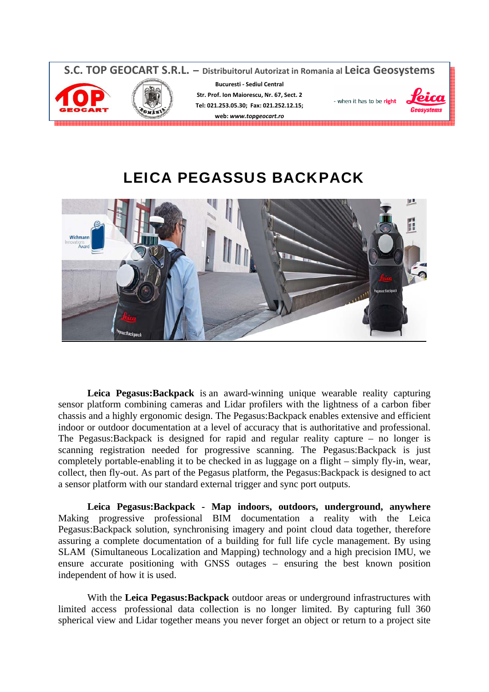

# LEICA PEGASSUS BACKPACK



**Leica Pegasus:Backpack** is an award-winning unique wearable reality capturing sensor platform combining cameras and Lidar profilers with the lightness of a carbon fiber chassis and a highly ergonomic design. The Pegasus:Backpack enables extensive and efficient indoor or outdoor documentation at a level of accuracy that is authoritative and professional. The Pegasus:Backpack is designed for rapid and regular reality capture – no longer is scanning registration needed for progressive scanning. The Pegasus:Backpack is just completely portable-enabling it to be checked in as luggage on a flight – simply fly-in, wear, collect, then fly-out. As part of the Pegasus platform, the Pegasus:Backpack is designed to act a sensor platform with our standard external trigger and sync port outputs.

**Leica Pegasus:Backpack - Map indoors, outdoors, underground, anywhere** Making progressive professional BIM documentation a reality with the Leica Pegasus:Backpack solution, synchronising imagery and point cloud data together, therefore assuring a complete documentation of a building for full life cycle management. By using SLAM (Simultaneous Localization and Mapping) technology and a high precision IMU, we ensure accurate positioning with GNSS outages – ensuring the best known position independent of how it is used.

With the **Leica Pegasus:Backpack** outdoor areas or underground infrastructures with limited access professional data collection is no longer limited. By capturing full 360 spherical view and Lidar together means you never forget an object or return to a project site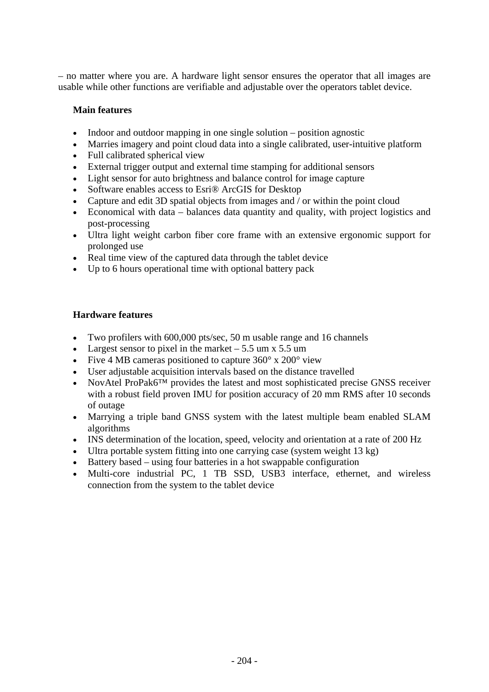– no matter where you are. A hardware light sensor ensures the operator that all images are usable while other functions are verifiable and adjustable over the operators tablet device.

# **Main features**

- Indoor and outdoor mapping in one single solution position agnostic
- Marries imagery and point cloud data into a single calibrated, user-intuitive platform
- Full calibrated spherical view
- External trigger output and external time stamping for additional sensors
- Light sensor for auto brightness and balance control for image capture
- Software enables access to Esri® ArcGIS for Desktop
- Capture and edit 3D spatial objects from images and / or within the point cloud
- Economical with data balances data quantity and quality, with project logistics and post-processing
- Ultra light weight carbon fiber core frame with an extensive ergonomic support for prolonged use
- Real time view of the captured data through the tablet device
- Up to 6 hours operational time with optional battery pack

### **Hardware features**

- Two profilers with 600,000 pts/sec, 50 m usable range and 16 channels
- Largest sensor to pixel in the market  $-5.5$  um x 5.5 um
- Five 4 MB cameras positioned to capture 360° x 200° view
- User adjustable acquisition intervals based on the distance travelled
- NovAtel ProPak6<sup>™</sup> provides the latest and most sophisticated precise GNSS receiver with a robust field proven IMU for position accuracy of 20 mm RMS after 10 seconds of outage
- Marrying a triple band GNSS system with the latest multiple beam enabled SLAM algorithms
- INS determination of the location, speed, velocity and orientation at a rate of 200 Hz
- Ultra portable system fitting into one carrying case (system weight 13 kg)
- Battery based using four batteries in a hot swappable configuration
- Multi-core industrial PC, 1 TB SSD, USB3 interface, ethernet, and wireless connection from the system to the tablet device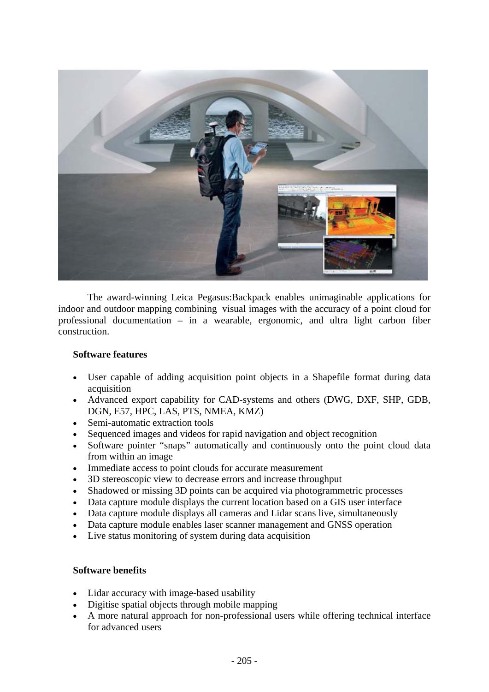

The award-winning Leica Pegasus:Backpack enables unimaginable applications for indoor and outdoor mapping combining visual images with the accuracy of a point cloud for professional documentation – in a wearable, ergonomic, and ultra light carbon fiber construction.

### **Software features**

- User capable of adding acquisition point objects in a Shapefile format during data acquisition
- Advanced export capability for CAD-systems and others (DWG, DXF, SHP, GDB, DGN, E57, HPC, LAS, PTS, NMEA, KMZ)
- Semi-automatic extraction tools
- Sequenced images and videos for rapid navigation and object recognition
- Software pointer "snaps" automatically and continuously onto the point cloud data from within an image
- Immediate access to point clouds for accurate measurement
- 3D stereoscopic view to decrease errors and increase throughput
- Shadowed or missing 3D points can be acquired via photogrammetric processes
- Data capture module displays the current location based on a GIS user interface
- Data capture module displays all cameras and Lidar scans live, simultaneously
- Data capture module enables laser scanner management and GNSS operation
- Live status monitoring of system during data acquisition

# **Software benefits**

- Lidar accuracy with image-based usability
- Digitise spatial objects through mobile mapping
- A more natural approach for non-professional users while offering technical interface for advanced users